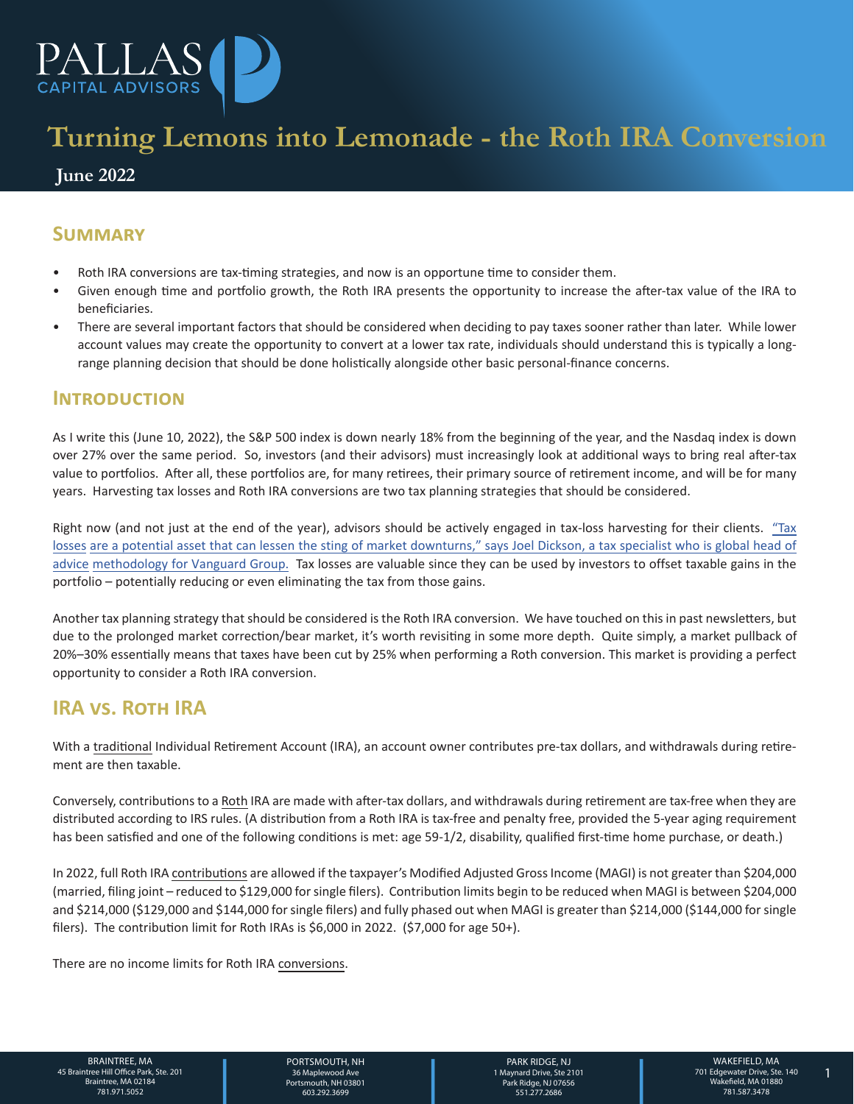

# **Turning Lemons into Lemonade - the Roth IRA Conversion**

### **June 2022**

# **Summary**

- Roth IRA conversions are tax-timing strategies, and now is an opportune time to consider them.
- Given enough time and portfolio growth, the Roth IRA presents the opportunity to increase the after-tax value of the IRA to beneficiaries.
- There are several important factors that should be considered when deciding to pay taxes sooner rather than later. While lower account values may create the opportunity to convert at a lower tax rate, individuals should understand this is typically a longrange planning decision that should be done holistically alongside other basic personal-finance concerns.

### **Introduction**

As I write this (June 10, 2022), the S&P 500 index is down nearly 18% from the beginning of the year, and the Nasdaq index is down over 27% over the same period. So, investors (and their advisors) must increasingly look at additional ways to bring real after-tax value to portfolios. After all, these portfolios are, for many retirees, their primary source of retirement income, and will be for many years. Harvesting tax losses and Roth IRA conversions are two tax planning strategies that should be considered.

[Right now \(and not just at the end of the year\), advisors should be actively engaged in tax-loss harvesting for their clients. "Tax](https://corporate.vanguard.com/content/dam/corp/research/pdf/Tax-Loss-Harvesting-A-Portfolio-and-Wealth-Planning-Perspective-US-ISGTLH_102020_online.pdf) losses are a potential asset that can lessen the sting of market downturns," says Joel Dickson, a tax specialist who is global head of advice methodology for Vanguard Group. Tax losses are valuable since they can be used by investors to offset taxable gains in the portfolio – potentially reducing or even eliminating the tax from those gains.

Another tax planning strategy that should be considered is the Roth IRA conversion. We have touched on this in past newsletters, but due to the prolonged market correction/bear market, it's worth revisiting in some more depth. Quite simply, a market pullback of 20%–30% essentially means that taxes have been cut by 25% when performing a Roth conversion. This market is providing a perfect opportunity to consider a Roth IRA conversion.

# **IRA vs. Roth IRA**

With a traditional Individual Retirement Account (IRA), an account owner contributes pre-tax dollars, and withdrawals during retirement are then taxable.

Conversely, contributions to a Roth IRA are made with after-tax dollars, and withdrawals during retirement are tax-free when they are distributed according to IRS rules. (A distribution from a Roth IRA is tax-free and penalty free, provided the 5-year aging requirement has been satisfied and one of the following conditions is met: age 59-1/2, disability, qualified first-time home purchase, or death.)

In 2022, full Roth IRA contributions are allowed if the taxpayer's Modified Adjusted Gross Income (MAGI) is not greater than \$204,000 (married, filing joint – reduced to \$129,000 for single filers). Contribution limits begin to be reduced when MAGI is between \$204,000 and \$214,000 (\$129,000 and \$144,000 for single filers) and fully phased out when MAGI is greater than \$214,000 (\$144,000 for single filers). The contribution limit for Roth IRAs is \$6,000 in 2022. (\$7,000 for age 50+).

There are no income limits for Roth IRA conversions.

1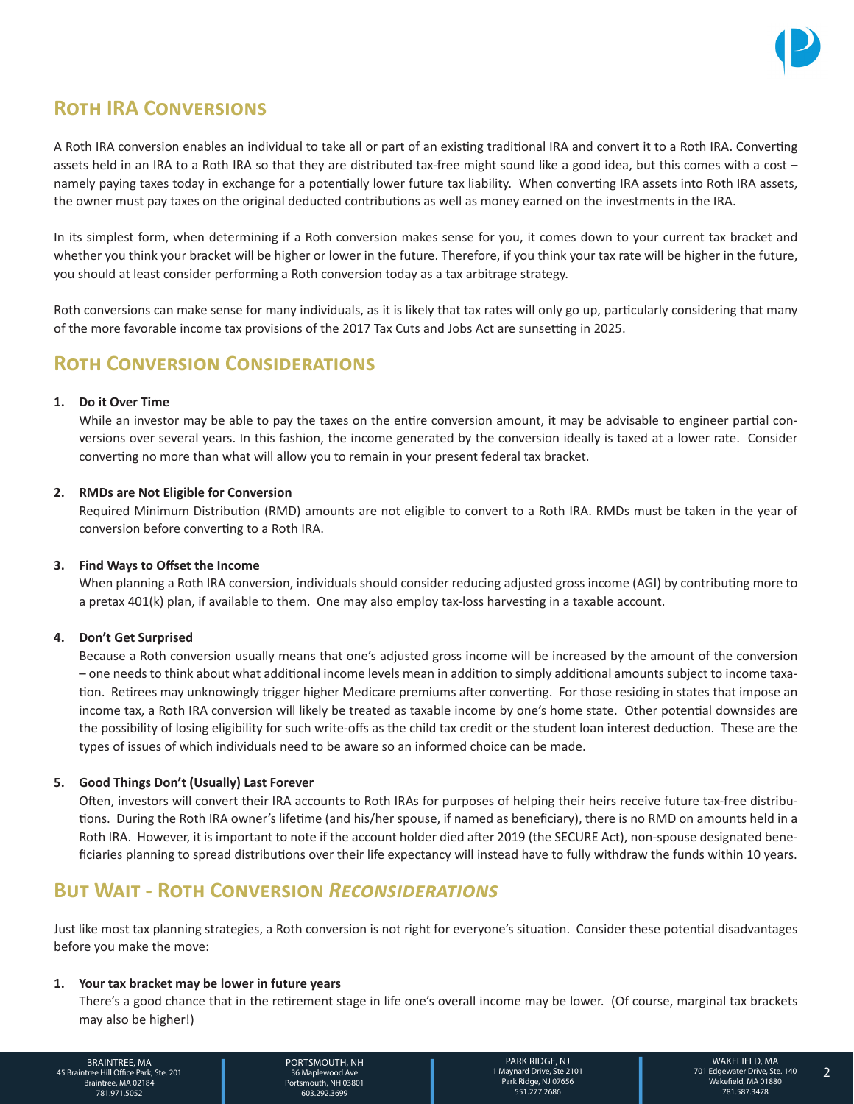

# **Roth IRA Conversions**

A Roth IRA conversion enables an individual to take all or part of an existing traditional IRA and convert it to a Roth IRA. Converting assets held in an IRA to a Roth IRA so that they are distributed tax-free might sound like a good idea, but this comes with a cost – namely paying taxes today in exchange for a potentially lower future tax liability. When converting IRA assets into Roth IRA assets, the owner must pay taxes on the original deducted contributions as well as money earned on the investments in the IRA.

In its simplest form, when determining if a Roth conversion makes sense for you, it comes down to your current tax bracket and whether you think your bracket will be higher or lower in the future. Therefore, if you think your tax rate will be higher in the future, you should at least consider performing a Roth conversion today as a tax arbitrage strategy.

Roth conversions can make sense for many individuals, as it is likely that tax rates will only go up, particularly considering that many of the more favorable income tax provisions of the 2017 Tax Cuts and Jobs Act are sunsetting in 2025.

# **Roth Conversion Considerations**

### **1. Do it Over Time**

While an investor may be able to pay the taxes on the entire conversion amount, it may be advisable to engineer partial conversions over several years. In this fashion, the income generated by the conversion ideally is taxed at a lower rate. Consider converting no more than what will allow you to remain in your present federal tax bracket.

### **2. RMDs are Not Eligible for Conversion**

Required Minimum Distribution (RMD) amounts are not eligible to convert to a Roth IRA. RMDs must be taken in the year of conversion before converting to a Roth IRA.

### **3. Find Ways to Offset the Income**

When planning a Roth IRA conversion, individuals should consider reducing adjusted gross income (AGI) by contributing more to a pretax 401(k) plan, if available to them. One may also employ tax-loss harvesting in a taxable account.

### **4. Don't Get Surprised**

Because a Roth conversion usually means that one's adjusted gross income will be increased by the amount of the conversion – one needs to think about what additional income levels mean in addition to simply additional amounts subject to income taxation. Retirees may unknowingly trigger higher Medicare premiums after converting. For those residing in states that impose an income tax, a Roth IRA conversion will likely be treated as taxable income by one's home state. Other potential downsides are the possibility of losing eligibility for such write-offs as the child tax credit or the student loan interest deduction. These are the types of issues of which individuals need to be aware so an informed choice can be made.

### **5. Good Things Don't (Usually) Last Forever**

Often, investors will convert their IRA accounts to Roth IRAs for purposes of helping their heirs receive future tax-free distributions. During the Roth IRA owner's lifetime (and his/her spouse, if named as beneficiary), there is no RMD on amounts held in a Roth IRA. However, it is important to note if the account holder died after 2019 (the SECURE Act), non-spouse designated beneficiaries planning to spread distributions over their life expectancy will instead have to fully withdraw the funds within 10 years.

# **But Wait - Roth Conversion** *Reconsiderations*

Just like most tax planning strategies, a Roth conversion is not right for everyone's situation. Consider these potential disadvantages before you make the move:

#### **1. Your tax bracket may be lower in future years**

There's a good chance that in the retirement stage in life one's overall income may be lower. (Of course, marginal tax brackets may also be higher!)

BRAINTREE, MA 45 Braintree Hill Office Park, Ste. 201 Braintree, MA 02184 781.971.5052

PORTSMOUTH, NH 36 Maplewood Ave Portsmouth, NH 03801 603.292.3699

PARK RIDGE, NJ 1 Maynard Drive, Ste 2101 Park Ridge, NJ 07656 551.277.2686

2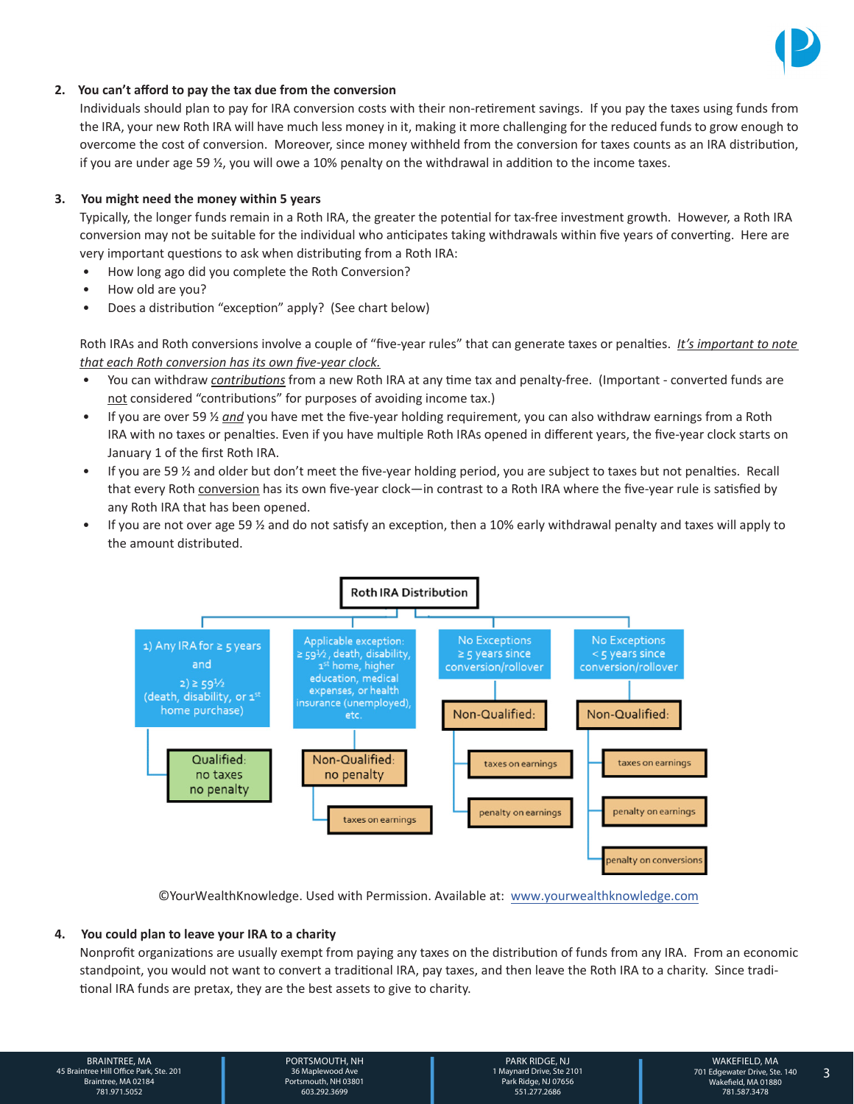

### **2. You can't afford to pay the tax due from the conversion**

Individuals should plan to pay for IRA conversion costs with their non-retirement savings. If you pay the taxes using funds from the IRA, your new Roth IRA will have much less money in it, making it more challenging for the reduced funds to grow enough to overcome the cost of conversion. Moreover, since money withheld from the conversion for taxes counts as an IRA distribution, if you are under age 59 ½, you will owe a 10% penalty on the withdrawal in addition to the income taxes.

#### **3. You might need the money within 5 years**

Typically, the longer funds remain in a Roth IRA, the greater the potential for tax-free investment growth. However, a Roth IRA conversion may not be suitable for the individual who anticipates taking withdrawals within five years of converting. Here are very important questions to ask when distributing from a Roth IRA:

- How long ago did you complete the Roth Conversion?
- How old are you?
- Does a distribution "exception" apply? (See chart below)

Roth IRAs and Roth conversions involve a couple of "five-year rules" that can generate taxes or penalties. *It's important to note that each Roth conversion has its own five-year clock.*

- You can withdraw *contributions* from a new Roth IRA at any time tax and penalty-free. (Important converted funds are not considered "contributions" for purposes of avoiding income tax.)
- If you are over 59 ½ *and* you have met the five-year holding requirement, you can also withdraw earnings from a Roth IRA with no taxes or penalties. Even if you have multiple Roth IRAs opened in different years, the five-year clock starts on January 1 of the first Roth IRA.
- If you are 59 ½ and older but don't meet the five-year holding period, you are subject to taxes but not penalties. Recall that every Roth conversion has its own five-year clock—in contrast to a Roth IRA where the five-year rule is satisfied by any Roth IRA that has been opened.
- If you are not over age 59  $\frac{1}{2}$  and do not satisfy an exception, then a 10% early withdrawal penalty and taxes will apply to the amount distributed.



©YourWealthKnowledge. Used with Permission. Available at: [www.yourwealthknowledge.com](https://yourwealthknowledge.com/)

#### **4. You could plan to leave your IRA to a charity**

Nonprofit organizations are usually exempt from paying any taxes on the distribution of funds from any IRA. From an economic standpoint, you would not want to convert a traditional IRA, pay taxes, and then leave the Roth IRA to a charity. Since traditional IRA funds are pretax, they are the best assets to give to charity.

2 3 701 Edgewater Drive, Ste. 140 Wakefield, MA 01880 | 781.587.3478 BRAINTREE, MA 45 Braintree Hill Office Park, Ste. 201 Braintree, MA 02184 781.971.5052

PORTSMOUTH, NH 36 Maplewood Ave Portsmouth, NH 03801 603.292.3699

PARK RIDGE, NJ 1 Maynard Drive, Ste 2101 Park Ridge, NJ 07656 551.277.2686

3